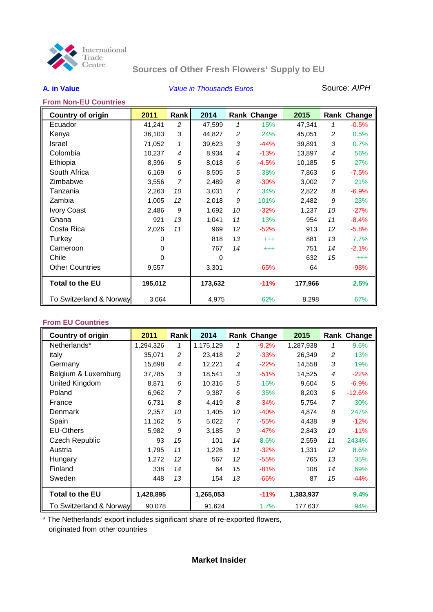

# **Sources of Other Fresh Flowers<sup>1</sup> Supply to EU**

## **A. in Value** *Value in Thousands Euros* Source: *AIPH*

### **From Non-EU Countries**

| <b>Country of origin</b> | 2011     | Rank           | 2014     |                | Rank Change | 2015    |    | Rank Change |
|--------------------------|----------|----------------|----------|----------------|-------------|---------|----|-------------|
| Ecuador                  | 41,241   | 2              | 47,599   | 1              | 15%         | 47,341  | 1  | $-0.5%$     |
| Kenya                    | 36,103   | 3              | 44,827   | $\overline{c}$ | 24%         | 45,051  | 2  | 0.5%        |
| <b>Israel</b>            | 71,052   | 1              | 39,623   | 3              | $-44%$      | 39,891  | 3  | 0.7%        |
| Colombia                 | 10,237   | 4              | 8,934    | 4              | $-13%$      | 13,897  | 4  | 56%         |
| Ethiopia                 | 8,396    | 5              | 8,018    | 6              | $-4.5%$     | 10,185  | 5  | 27%         |
| South Africa             | 6,169    | 6              | 8,505    | 5              | 38%         | 7,863   | 6  | $-7.5%$     |
| Zimbabwe                 | 3,556    | $\overline{7}$ | 2,489    | 8              | $-30%$      | 3,002   | 7  | 21%         |
| Tanzania                 | 2,263    | 10             | 3,031    | $\overline{7}$ | 34%         | 2,822   | 8  | $-6.9%$     |
| Zambia                   | 1,005    | 12             | 2,018    | 9              | 101%        | 2,482   | 9  | 23%         |
| <b>Ivory Coast</b>       | 2,486    | 9              | 1,692    | 10             | $-32%$      | 1,237   | 10 | $-27%$      |
| Ghana                    | 921      | 13             | 1,041    | 11             | 13%         | 954     | 11 | $-8.4%$     |
| Costa Rica               | 2,026    | 11             | 969      | 12             | $-52%$      | 913     | 12 | $-5.8%$     |
| Turkey                   | 0        |                | 818      | 13             | $^{+++}$    | 881     | 13 | 7.7%        |
| Cameroon                 | $\Omega$ |                | 767      | 14             | $^{+++}$    | 751     | 14 | $-2.1%$     |
| Chile                    | O        |                | $\Omega$ |                |             | 632     | 15 | $^{+++}$    |
| <b>Other Countries</b>   | 9,557    |                | 3,301    |                | $-65%$      | 64      |    | $-98%$      |
| <b>Total to the EU</b>   | 195,012  |                | 173,632  |                | $-11%$      | 177,966 |    | 2.5%        |
| To Switzerland & Norway  | 3,064    |                | 4,975    |                | 62%         | 8,298   |    | 67%         |

### **From EU Countries**

| <b>Country of origin</b> | 2011      | Rank | 2014      |    | Rank Change | 2015      |                | Rank Change |
|--------------------------|-----------|------|-----------|----|-------------|-----------|----------------|-------------|
| Netherlands*             | 1,294,326 | 1    | 1,175,129 | 1  | $-9.2%$     | 1,287,938 | 1              | 9.6%        |
| italy                    | 35,071    | 2    | 23,418    | 2  | $-33%$      | 26,349    | $\overline{c}$ | 13%         |
| Germany                  | 15,698    | 4    | 12,221    | 4  | $-22%$      | 14,558    | 3              | 19%         |
| Belgium & Luxemburg      | 37,785    | 3    | 18,541    | 3  | $-51%$      | 14,525    | 4              | $-22%$      |
| United Kingdom           | 8,871     | 6    | 10,316    | 5  | 16%         | 9.604     | 5              | $-6.9%$     |
| Poland                   | 6,962     | 7    | 9,387     | 6  | 35%         | 8,203     | 6              | $-12.6%$    |
| France                   | 6,731     | 8    | 4,419     | 8  | $-34%$      | 5,754     | 7              | 30%         |
| <b>Denmark</b>           | 2,357     | 10   | 1,405     | 10 | $-40%$      | 4,874     | 8              | 247%        |
| Spain                    | 11,162    | 5    | 5,022     | 7  | $-55%$      | 4,438     | 9              | $-12%$      |
| <b>EU-Others</b>         | 5,982     | 9    | 3,185     | 9  | $-47%$      | 2.843     | 10             | $-11%$      |
| Czech Republic           | 93        | 15   | 101       | 14 | 8.6%        | 2,559     | 11             | 2434%       |
| Austria                  | 1,795     | 11   | 1,226     | 11 | $-32%$      | 1,331     | 12             | 8.6%        |
| Hungary                  | 1,272     | 12   | 567       | 12 | $-55%$      | 765       | 13             | 35%         |
| Finland                  | 338       | 14   | 64        | 15 | $-81%$      | 108       | 14             | 69%         |
| Sweden                   | 448       | 13   | 154       | 13 | $-66%$      | 87        | 15             | $-44%$      |
| <b>Total to the EU</b>   | 1,428,895 |      | 1,265,053 |    | $-11%$      | 1,383,937 |                | 9.4%        |
| To Switzerland & Norway  | 90,078    |      | 91,624    |    | 1.7%        | 177,637   |                | 94%         |

\* The Netherlands' export includes significant share of re-exported flowers, originated from other countries

### **Market Insider**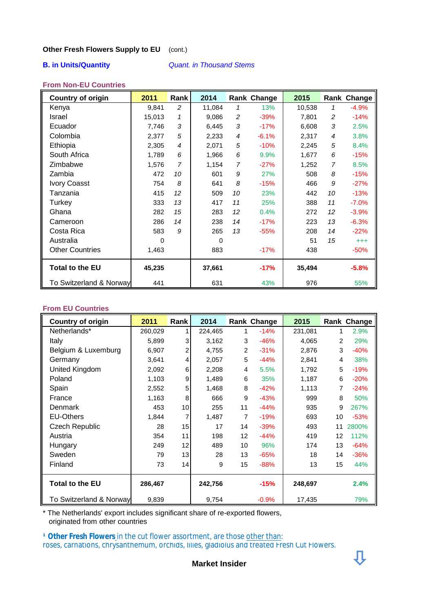### **Other Fresh Flowers Supply to EU** (cont.)

### **B. in Units/Quantity** *Quant. in Thousand Stems*

### **From Non-EU Countries**

| <b>Country of origin</b> | 2011     | Rank | 2014     |    | <b>Rank Change</b> | 2015   |    | Rank Change |
|--------------------------|----------|------|----------|----|--------------------|--------|----|-------------|
| Kenya                    | 9,841    | 2    | 11,084   | 1  | 13%                | 10,538 | 1  | $-4.9%$     |
| <b>Israel</b>            | 15,013   | 1    | 9,086    | 2  | $-39%$             | 7,801  | 2  | $-14%$      |
| Ecuador                  | 7,746    | 3    | 6,445    | 3  | $-17%$             | 6,608  | 3  | 2.5%        |
| Colombia                 | 2,377    | 5    | 2,233    | 4  | $-6.1%$            | 2,317  | 4  | 3.8%        |
| Ethiopia                 | 2,305    | 4    | 2,071    | 5  | $-10%$             | 2,245  | 5  | 8.4%        |
| South Africa             | 1,789    | 6    | 1,966    | 6  | 9.9%               | 1,677  | 6  | $-15%$      |
| Zimbabwe                 | 1,576    | 7    | 1,154    | 7  | $-27%$             | 1,252  | 7  | 8.5%        |
| Zambia                   | 472      | 10   | 601      | 9  | 27%                | 508    | 8  | $-15%$      |
| <b>Ivory Coasst</b>      | 754      | 8    | 641      | 8  | $-15%$             | 466    | 9  | $-27%$      |
| Tanzania                 | 415      | 12   | 509      | 10 | 23%                | 442    | 10 | $-13%$      |
| Turkey                   | 333      | 13   | 417      | 11 | 25%                | 388    | 11 | $-7.0%$     |
| Ghana                    | 282      | 15   | 283      | 12 | 0.4%               | 272    | 12 | $-3.9%$     |
| Cameroon                 | 286      | 14   | 238      | 14 | $-17%$             | 223    | 13 | $-6.3%$     |
| Costa Rica               | 583      | 9    | 265      | 13 | $-55%$             | 208    | 14 | $-22%$      |
| Australia                | $\Omega$ |      | $\Omega$ |    |                    | 51     | 15 | $^{+++}$    |
| <b>Other Countries</b>   | 1,463    |      | 883      |    | $-17%$             | 438    |    | $-50%$      |
| <b>Total to the EU</b>   | 45,235   |      | 37,661   |    | $-17%$             | 35,494 |    | $-5.8%$     |
| To Switzerland & Norway  | 441      |      | 631      |    | 43%                | 976    |    | 55%         |

### **From EU Countries**

| <b>Country of origin</b> | 2011    | Rank | 2014    |                 | Rank Change | 2015    |    | Rank Change |
|--------------------------|---------|------|---------|-----------------|-------------|---------|----|-------------|
| Netherlands*             | 260,029 | 1    | 224,465 | 1               | $-14%$      | 231,081 | 1  | 2.9%        |
| Italy                    | 5,899   | 3    | 3,162   | 3               | $-46%$      | 4,065   | 2  | 29%         |
| Belgium & Luxemburg      | 6,907   | 2    | 4,755   | $\overline{2}$  | $-31%$      | 2,876   | 3  | $-40%$      |
| Germany                  | 3,641   | 4    | 2,057   | 5               | $-44%$      | 2,841   | 4  | 38%         |
| United Kingdom           | 2,092   | 6    | 2,208   | 4               | 5.5%        | 1,792   | 5  | $-19%$      |
| Poland                   | 1,103   | 9    | 1,489   | 6               | 35%         | 1,187   | 6  | $-20%$      |
| Spain                    | 2,552   | 5    | 1,468   | 8               | $-42%$      | 1,113   | 7  | $-24%$      |
| France                   | 1,163   | 8    | 666     | 9               | $-43%$      | 999     | 8  | 50%         |
| Denmark                  | 453     | 10   | 255     | 11              | $-44%$      | 935     | 9  | 267%        |
| <b>EU-Others</b>         | 1,844   | 7    | 1,487   | 7               | $-19%$      | 693     | 10 | $-53%$      |
| Czech Republic           | 28      | 15   | 17      | 14              | $-39%$      | 493     | 11 | 2800%       |
| Austria                  | 354     | 11   | 198     | 12 <sup>2</sup> | $-44%$      | 419     | 12 | 112%        |
| Hungary                  | 249     | 12   | 489     | 10              | 96%         | 174     | 13 | $-64%$      |
| Sweden                   | 79      | 13   | 28      | 13              | $-65%$      | 18      | 14 | $-36%$      |
| Finland                  | 73      | 14   | 9       | 15              | $-88%$      | 13      | 15 | 44%         |
| <b>Total to the EU</b>   | 286,467 |      | 242,756 |                 | $-15%$      | 248,697 |    | 2.4%        |
| To Switzerland & Norway  | 9,839   |      | 9,754   |                 | $-0.9%$     | 17,435  |    | 79%         |

\* The Netherlands' export includes significant share of re-exported flowers, originated from other countries

**<sup>1</sup> Other Fresh Flowers in the cut flower assortment, are those other than:** roses, carnations, chrysanthemum, orchids, lilies, gladiolus and treated Fresh Cut Flowers.